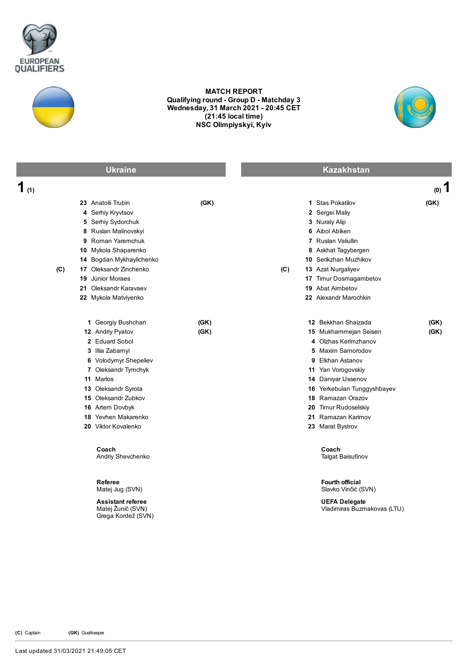



## MATCH REPORT Qualifying round - Group D - Matchday 3 Wednesday, 31 March 2021 20:45 CET (21:45 local time) NSC Olimpiyskyi, Kyiv



|         | <b>Ukraine</b>                                                                                                                                                                                                                                                                        |              |     | <b>Kazakhstan</b>                                                                                                                                                                                                                                                                                             |              |
|---------|---------------------------------------------------------------------------------------------------------------------------------------------------------------------------------------------------------------------------------------------------------------------------------------|--------------|-----|---------------------------------------------------------------------------------------------------------------------------------------------------------------------------------------------------------------------------------------------------------------------------------------------------------------|--------------|
| 1 $(1)$ |                                                                                                                                                                                                                                                                                       |              |     |                                                                                                                                                                                                                                                                                                               | $(0)$ 1      |
| (C)     | 23 Anatolii Trubin<br>4 Serhiy Kryvtsov<br>5 Serhiy Sydorchuk<br>8 Ruslan Malinovskyi<br>9 Roman Yaremchuk<br>10 Mykola Shaparenko<br>14 Bogdan Mykhaylichenko<br>17 Oleksandr Zinchenko<br>19 Júnior Moraes<br>21 Oleksandr Karavaev<br>22 Mykola Matviyenko                         | (GK)         | (C) | 1 Stas Pokatilov<br>2 Sergei Maliy<br>3 Nuraly Alip<br>6 Aibol Abiken<br>7 Ruslan Valiullin<br>8 Askhat Tagybergen<br>10 Serikzhan Muzhikov<br>13 Azat Nurgaliyev<br>17 Timur Dosmagambetov<br>19 Abat Aimbetov<br>22 Alexandr Marochkin                                                                      | (GK)         |
|         | 1 Georgiy Bushchan<br>12 Andriy Pyatov<br>2 Eduard Sobol<br>3 Illia Zabamyi<br>6 Volodymyr Shepeliev<br>7 Oleksandr Tymchyk<br>11 Marlos<br>13 Oleksandr Syrota<br>15 Oleksandr Zubkov<br>16 Artem Dovbyk<br>18 Yevhen Makarenko<br>20 Viktor Kovalenko<br>Coach<br>Andriy Shevchenko | (GK)<br>(GK) |     | 12 Bekkhan Shaizada<br>15 Mukhammejan Seisen<br>4 Olzhas Kerimzhanov<br>5 Maxim Samorodov<br>9 Elkhan Astanov<br>11 Yan Vorogovskiy<br>14 Daniyar Ussenov<br>16 Yerkebulan Tunggyshbayev<br>18 Ramazan Orazov<br>20 Timur Rudoselskiy<br>21 Ramazan Karimov<br>23 Marat Bystrov<br>Coach<br>Talgat Baisufinov | (GK)<br>(GK) |
|         | Referee<br>Matej Jug (SVN)<br><b>Assistant referee</b><br>Matej Žunič (SVN)<br>Grega Kordež (SVN)                                                                                                                                                                                     |              |     | <b>Fourth official</b><br>Slavko Vinčić (SVN)<br><b>UEFA Delegate</b><br>Vladimiras Buzmakovas (LTU)                                                                                                                                                                                                          |              |

(C) Captain (GK) Goalkeeper